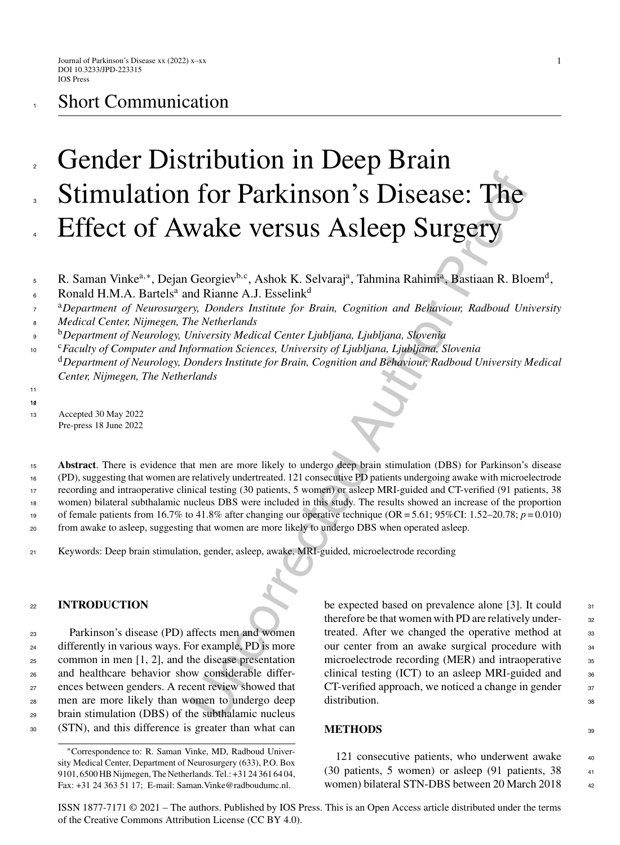# **Short Communication**

# **For Parkinson's Disease: The Wake Versus Asleep Surgery**<br>
Wake Versus Asleep Surgery<br>
Georgiev<sup>b.c</sup>, Ashok K. Selvaraj<sup>a</sup>, Tahmina Rahim<sup>a</sup>, Bastiaan R. Blo<br>
In Riame A.J. Esselink<sup>d</sup><br> *Interset institute for Brain, Cogn* Gender Distribution in Deep Brain Stimulation for Parkinson's Disease: The Effect of Awake versus Asleep Surgery 2 3 4

R. Saman Vinke<sup>a,∗</sup>, Dejan Georgiev<sup>b,c</sup>, Ashok K. Selvaraj<sup>a</sup>, Tahmina Rahimi<sup>a</sup>, Bastiaan R. Bloem<sup>d</sup>, 5

- Ronald H.M.A. Bartels<sup>a</sup> and Rianne A.J. Esselink<sup>d</sup> 6
- <sup>a</sup>*Department of Neurosurgery, Donders Institute for Brain, Cognition and Behaviour, Radboud University* 7
- *Medical Center, Nijmegen, The Netherlands* 8
- <sup>b</sup> <sup>9</sup> *Department of Neurology, University Medical Center Ljubljana, Ljubljana, Slovenia*
- <sup>c</sup> <sup>10</sup> *Faculty of Computer and Information Sciences, University of Ljubljana, Ljubljana, Slovenia* <sup>d</sup>*Department of Neurology, Donders Institute for Brain, Cognition and Behaviour, Radboud University Medical Center, Nijmegen, The Netherlands*
- 11 12 14

**Abstract**. There is evidence that men are more likely to undergo deep brain stimulation (DBS) for Parkinson's disease (PD), suggesting that women are relatively undertreated. 121 consecutive PD patients undergoing awake with microelectrode recording and intraoperative clinical testing (30 patients, 5 women) or asleep MRI-guided and CT-verified (91 patients, 38 15 16 17

women) bilateral subthalamic nucleus DBS were included in this study. The results showed an increase of the proportion 18

of female patients from  $16.7\%$  to  $41.8\%$  after changing our operative technique (OR = 5.61; 95%CI: 1.52–20.78;  $p = 0.010$ ) 19

- from awake to asleep, suggesting that women are more likely to undergo DBS when operated asleep.  $20$
- <sup>21</sup> Keywords: Deep brain stimulation, gender, asleep, awake, MRI-guided, microelectrode recording

## <sup>22</sup> **INTRODUCTION**

 Parkinson's disease (PD) affects men and women differently in various ways. For example, PD is more common in men [1, 2], and the disease presentation and healthcare behavior show considerable differ- ences between genders. A recent review showed that men are more likely than women to undergo deep brain stimulation (DBS) of the subthalamic nucleus (STN), and this difference is greater than what can

be expected based on prevalence alone [3]. It could  $_{31}$ therefore be that women with PD are relatively under-<br>32 treated. After we changed the operative method at 33 our center from an awake surgical procedure with <sup>34</sup> microelectrode recording (MER) and intraoperative 35 clinical testing (ICT) to an asleep MRI-guided and <sup>36</sup>  $CT$ -verified approach, we noticed a change in gender  $37$ distribution. 38

### **METHODS** 39

121 consecutive patients, who underwent awake  $\frac{40}{40}$ (30 patients, 5 women) or asleep (91 patients, 38 <sup>41</sup> women) bilateral STN-DBS between 20 March 2018 42

ISSN 1877-7171 © 2021 – The authors. Published by IOS Press. This is an Open Access article distributed under the terms of the [Creative Commons Attribution License \(CC BY 4.0\)](https://creativecommons.org/licenses/by/4.0/).

<sup>13</sup> Accepted 30 May 2022 Pre-press 18 June 2022

<sup>∗</sup>Correspondence to: R. Saman Vinke, MD, Radboud University Medical Center, Department of Neurosurgery (633), P.O. Box 9101, 6500 HB Nijmegen, The Netherlands. Tel.: +31 24 361 64 04, Fax: +31 24 363 51 17; E-mail: [Saman.Vinke@radboudumc.nl](mailto:Saman.Vinke@radboudumc.nl).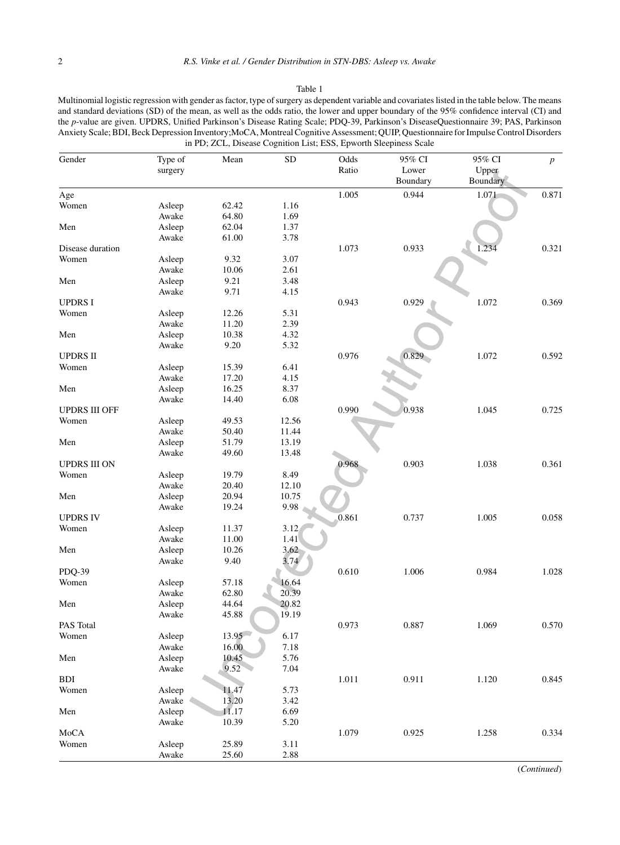#### Table 1

Multinomial logistic regression with gender as factor, type of surgery as dependent variable and covariates listed in the table below. The means and standard deviations (SD) of the mean, as well as the odds ratio, the lower and upper boundary of the 95% confidence interval (CI) and the *p*-value are given. UPDRS, Unified Parkinson's Disease Rating Scale; PDQ-39, Parkinson's DiseaseQuestionnaire 39; PAS, Parkinson Anxiety Scale; BDI, Beck Depression Inventory;MoCA, Montreal Cognitive Assessment; QUIP, Questionnaire for Impulse Control Disorders in PD; ZCL, Disease Cognition List; ESS, Epworth Sleepiness Scale

| Gender               | Type of | Mean  | ${\rm SD}$ | Odds  | 95% CI   | 95% CI   | $\boldsymbol{p}$ |
|----------------------|---------|-------|------------|-------|----------|----------|------------------|
|                      | surgery |       |            | Ratio | Lower    | Upper    |                  |
|                      |         |       |            |       | Boundary | Boundary |                  |
| Age                  |         |       |            | 1.005 | 0.944    | 1.071    | 0.871            |
| Women                | Asleep  | 62.42 | 1.16       |       |          |          |                  |
|                      | Awake   | 64.80 | 1.69       |       |          |          |                  |
| Men                  | Asleep  | 62.04 | 1.37       |       |          |          |                  |
|                      | Awake   | 61.00 | 3.78       |       |          |          |                  |
| Disease duration     |         |       |            | 1.073 | 0.933    | 1.234    | 0.321            |
| Women                | Asleep  | 9.32  | 3.07       |       |          |          |                  |
|                      | Awake   | 10.06 | 2.61       |       |          |          |                  |
| Men                  | Asleep  | 9.21  | 3.48       |       |          |          |                  |
|                      | Awake   | 9.71  | 4.15       |       |          |          |                  |
| <b>UPDRSI</b>        |         |       |            | 0.943 | 0.929    | 1.072    | 0.369            |
| Women                | Asleep  | 12.26 | 5.31       |       |          |          |                  |
|                      | Awake   | 11.20 | 2.39       |       |          |          |                  |
| Men                  | Asleep  | 10.38 | 4.32       |       |          |          |                  |
|                      | Awake   | 9.20  | 5.32       |       |          |          |                  |
| <b>UPDRS II</b>      |         |       |            | 0.976 | 0.829    | 1.072    | 0.592            |
| Women                | Asleep  | 15.39 | 6.41       |       |          |          |                  |
|                      | Awake   | 17.20 | 4.15       |       |          |          |                  |
| Men                  | Asleep  | 16.25 | 8.37       |       |          |          |                  |
|                      | Awake   | 14.40 | 6.08       |       |          |          |                  |
| <b>UPDRS III OFF</b> |         |       |            | 0.990 | 0.938    | 1.045    | 0.725            |
| Women                | Asleep  | 49.53 | 12.56      |       |          |          |                  |
|                      | Awake   | 50.40 | 11.44      |       |          |          |                  |
| Men                  | Asleep  | 51.79 | 13.19      |       |          |          |                  |
|                      | Awake   | 49.60 | 13.48      |       |          |          |                  |
| <b>UPDRS III ON</b>  |         |       |            | 0.968 | 0.903    | 1.038    | 0.361            |
| Women                | Asleep  | 19.79 | 8.49       |       |          |          |                  |
|                      | Awake   | 20.40 | 12.10      |       |          |          |                  |
| Men                  | Asleep  | 20.94 | 10.75      |       |          |          |                  |
|                      | Awake   | 19.24 | 9.98       |       |          |          |                  |
| <b>UPDRS IV</b>      |         |       |            | 0.861 | 0.737    | 1.005    | 0.058            |
| Women                | Asleep  | 11.37 | 3.12       |       |          |          |                  |
|                      | Awake   | 11.00 | 1.41       |       |          |          |                  |
| Men                  | Asleep  | 10.26 | 3.62       |       |          |          |                  |
|                      | Awake   | 9.40  | 3.74       |       |          |          |                  |
| PDQ-39               |         |       |            | 0.610 | 1.006    | 0.984    | 1.028            |
| Women                | Asleep  | 57.18 | 16.64      |       |          |          |                  |
|                      | Awake   | 62.80 | 20.39      |       |          |          |                  |
| Men                  | Asleep  | 44.64 | 20.82      |       |          |          |                  |
|                      | Awake   | 45.88 | 19.19      |       |          |          |                  |
| PAS Total            |         |       |            | 0.973 | 0.887    | 1.069    | 0.570            |
| Women                | Asleep  | 13.95 | 6.17       |       |          |          |                  |
|                      | Awake   | 16.00 | 7.18       |       |          |          |                  |
| Men                  | Asleep  | 10.45 | 5.76       |       |          |          |                  |
|                      | Awake   | 9.52  | 7.04       |       |          |          |                  |
| <b>BDI</b>           |         |       |            | 1.011 | 0.911    | 1.120    | 0.845            |
| Women                | Asleep  | 11.47 | 5.73       |       |          |          |                  |
|                      | Awake   | 13.20 | 3.42       |       |          |          |                  |
| Men                  | Asleep  | 11.17 | 6.69       |       |          |          |                  |
|                      | Awake   | 10.39 | 5.20       |       |          |          |                  |
| MoCA                 |         |       |            | 1.079 | 0.925    | 1.258    | 0.334            |
| Women                |         |       |            |       |          |          |                  |
|                      | Asleep  | 25.89 | 3.11       |       |          |          |                  |

(*Continued*)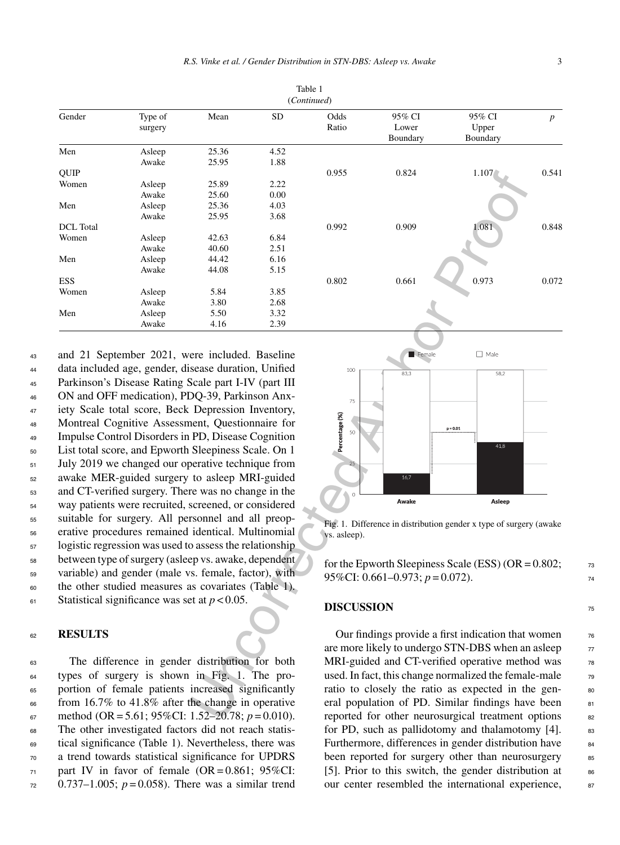Table 1 (*Continued*)

| Gender           | Type of                                                 | Mean           | <b>SD</b>    | Odds                                                                                                     | 95% CI                                             | 95% CI                                                             | $\boldsymbol{p}$ |  |  |
|------------------|---------------------------------------------------------|----------------|--------------|----------------------------------------------------------------------------------------------------------|----------------------------------------------------|--------------------------------------------------------------------|------------------|--|--|
|                  | surgery                                                 |                |              | Ratio                                                                                                    | Lower                                              | Upper                                                              |                  |  |  |
|                  |                                                         |                |              |                                                                                                          | Boundary                                           | Boundary                                                           |                  |  |  |
| Men              | Asleep                                                  | 25.36          | 4.52         |                                                                                                          |                                                    |                                                                    |                  |  |  |
|                  | Awake                                                   | 25.95          | 1.88         |                                                                                                          |                                                    |                                                                    |                  |  |  |
| QUIP             |                                                         |                |              | 0.955                                                                                                    | 0.824                                              | 1.107                                                              | 0.541            |  |  |
| Women            | Asleep<br>Awake                                         | 25.89<br>25.60 | 2.22<br>0.00 |                                                                                                          |                                                    |                                                                    |                  |  |  |
| Men              | Asleep                                                  | 25.36          | 4.03         |                                                                                                          |                                                    |                                                                    |                  |  |  |
|                  | Awake                                                   | 25.95          | 3.68         |                                                                                                          |                                                    |                                                                    |                  |  |  |
| <b>DCL</b> Total |                                                         |                |              | 0.992                                                                                                    | 0.909                                              | 1.081                                                              | 0.848            |  |  |
| Women            | Asleep                                                  | 42.63          | 6.84         |                                                                                                          |                                                    |                                                                    |                  |  |  |
|                  | Awake                                                   | 40.60          | 2.51         |                                                                                                          |                                                    |                                                                    |                  |  |  |
| Men              | Asleep                                                  | 44.42          | 6.16         |                                                                                                          |                                                    |                                                                    |                  |  |  |
|                  | Awake                                                   | 44.08          | 5.15         |                                                                                                          |                                                    |                                                                    |                  |  |  |
| <b>ESS</b>       |                                                         |                |              | 0.802                                                                                                    | 0.661                                              | 0.973                                                              | 0.072            |  |  |
| Women            | Asleep                                                  | 5.84           | 3.85         |                                                                                                          |                                                    |                                                                    |                  |  |  |
| Men              | Awake                                                   | 3.80<br>5.50   | 2.68<br>3.32 |                                                                                                          |                                                    |                                                                    |                  |  |  |
|                  | Asleep<br>Awake                                         | 4.16           | 2.39         |                                                                                                          |                                                    |                                                                    |                  |  |  |
|                  |                                                         |                |              |                                                                                                          |                                                    |                                                                    |                  |  |  |
|                  |                                                         |                |              |                                                                                                          |                                                    |                                                                    |                  |  |  |
|                  | and 21 September 2021, were included. Baseline          |                |              |                                                                                                          | Female                                             | $\Box$ Male                                                        |                  |  |  |
|                  | data included age, gender, disease duration, Unified    |                |              | 100                                                                                                      | 83,3                                               | 58,2                                                               |                  |  |  |
|                  | Parkinson's Disease Rating Scale part I-IV (part III    |                |              |                                                                                                          |                                                    |                                                                    |                  |  |  |
|                  | ON and OFF medication), PDQ-39, Parkinson Anx-          |                |              |                                                                                                          |                                                    |                                                                    |                  |  |  |
|                  | iety Scale total score, Beck Depression Inventory,      |                |              | 75                                                                                                       |                                                    |                                                                    |                  |  |  |
|                  | Montreal Cognitive Assessment, Questionnaire for        |                |              |                                                                                                          |                                                    |                                                                    |                  |  |  |
|                  |                                                         |                |              | Percentage (%)<br>50                                                                                     |                                                    | $p = 0.01$                                                         |                  |  |  |
|                  | Impulse Control Disorders in PD, Disease Cognition      |                |              |                                                                                                          |                                                    | 41,8                                                               |                  |  |  |
|                  | List total score, and Epworth Sleepiness Scale. On 1    |                |              |                                                                                                          |                                                    |                                                                    |                  |  |  |
|                  | July 2019 we changed our operative technique from       |                |              |                                                                                                          |                                                    |                                                                    |                  |  |  |
|                  | awake MER-guided surgery to asleep MRI-guided           |                |              |                                                                                                          | 16,7                                               |                                                                    |                  |  |  |
|                  | and CT-verified surgery. There was no change in the     |                |              |                                                                                                          |                                                    |                                                                    |                  |  |  |
|                  | way patients were recruited, screened, or considered    |                |              |                                                                                                          | Awake                                              | Asleep                                                             |                  |  |  |
|                  | suitable for surgery. All personnel and all preop-      |                |              |                                                                                                          |                                                    |                                                                    |                  |  |  |
|                  | erative procedures remained identical. Multinomial      |                |              |                                                                                                          |                                                    | Fig. 1. Difference in distribution gender x type of surgery (awake |                  |  |  |
|                  |                                                         |                |              | vs. asleep).                                                                                             |                                                    |                                                                    |                  |  |  |
|                  | logistic regression was used to assess the relationship |                |              |                                                                                                          |                                                    |                                                                    |                  |  |  |
|                  | between type of surgery (asleep vs. awake, dependent    |                |              |                                                                                                          |                                                    | for the Epworth Sleepiness Scale (ESS) ( $OR = 0.802$ ;            |                  |  |  |
|                  | variable) and gender (male vs. female, factor), with    |                |              |                                                                                                          | 95%CI: 0.661-0.973; $p = 0.072$ ).                 |                                                                    |                  |  |  |
|                  | the other studied measures as covariates (Table 1).     |                |              |                                                                                                          |                                                    |                                                                    |                  |  |  |
|                  | Statistical significance was set at $p < 0.05$ .        |                |              |                                                                                                          |                                                    |                                                                    |                  |  |  |
|                  |                                                         |                |              | <b>DISCUSSION</b>                                                                                        |                                                    |                                                                    |                  |  |  |
|                  |                                                         |                |              |                                                                                                          |                                                    |                                                                    |                  |  |  |
| <b>RESULTS</b>   |                                                         |                |              |                                                                                                          |                                                    | Our findings provide a first indication that women                 |                  |  |  |
|                  |                                                         |                |              |                                                                                                          | are more likely to undergo STN-DBS when an asleep  |                                                                    |                  |  |  |
|                  | The difference in gender distribution for both          |                |              |                                                                                                          |                                                    |                                                                    |                  |  |  |
|                  | types of surgery is shown in Fig. 1. The pro-           |                |              | MRI-guided and CT-verified operative method was<br>used. In fact, this change normalized the female-male |                                                    |                                                                    |                  |  |  |
|                  |                                                         |                |              |                                                                                                          | ratio to closely the ratio as expected in the gen- |                                                                    |                  |  |  |
|                  | portion of female patients increased significantly      |                |              |                                                                                                          |                                                    |                                                                    |                  |  |  |
|                  | from $16.7\%$ to $41.8\%$ after the change in operative |                |              |                                                                                                          | eral population of PD. Similar findings have been  |                                                                    |                  |  |  |
|                  | method (OR = 5.61; 95%CI: 1.52–20.78; $p = 0.010$ ).    |                |              |                                                                                                          |                                                    | reported for other neurosurgical treatment options                 |                  |  |  |

 and 21 September 2021, were included. Baseline data included age, gender, disease duration, Unified Parkinson's Disease Rating Scale part I-IV (part III ON and OFF medication), PDQ-39, Parkinson Anx- iety Scale total score, Beck Depression Inventory, Montreal Cognitive Assessment, Questionnaire for Impulse Control Disorders in PD, Disease Cognition List total score, and Epworth Sleepiness Scale. On 1  $_{51}$  July 2019 we changed our operative technique from awake MER-guided surgery to asleep MRI-guided and CT-verified surgery. There was no change in the way patients were recruited, screened, or considered suitable for surgery. All personnel and all preop- erative procedures remained identical. Multinomial logistic regression was used to assess the relationship between type of surgery (asleep vs. awake, dependent variable) and gender (male vs. female, factor), with the other studied measures as covariates (Table 1).  $\epsilon$ <sup>61</sup> Statistical significance was set at  $p < 0.05$ .

#### <sup>62</sup> **RESULTS**

 The difference in gender distribution for both types of surgery is shown in Fig. 1. The pro- portion of female patients increased significantly from 16.7% to 41.8% after the change in operative 67 method (OR = 5.61; 95%CI: 1.52–20.78;  $p = 0.010$ ). The other investigated factors did not reach statis- tical significance (Table 1). Nevertheless, there was a trend towards statistical significance for UPDRS part IV in favor of female (OR = 0.861; 95%CI:  $72 \quad 0.737 - 1.005$ ;  $p = 0.058$ ). There was a similar trend



Fig. 1. Difference in distribution gender x type of surgery (awake vs. asleep).

for the Epworth Sleepiness Scale (ESS) (OR =  $0.802$ ;  $73$ 95%CI:  $0.661 - 0.973$ ;  $p = 0.072$ ).

#### **DISCUSSION** <sup>75</sup>

Our findings provide a first indication that women  $\frac{76}{6}$ are more likely to undergo STN-DBS when an asleep  $\frac{77}{27}$ MRI-guided and CT-verified operative method was  $78$ used. In fact, this change normalized the female-male  $\frac{79}{20}$ ratio to closely the ratio as expected in the general population of PD. Similar findings have been  $81$ reported for other neurosurgical treatment options 82 for PD, such as pallidotomy and thalamotomy  $[4]$ . 83 Furthermore, differences in gender distribution have 84 been reported for surgery other than neurosurgery 85 [5]. Prior to this switch, the gender distribution at  $86$ our center resembled the international experience,  $87$